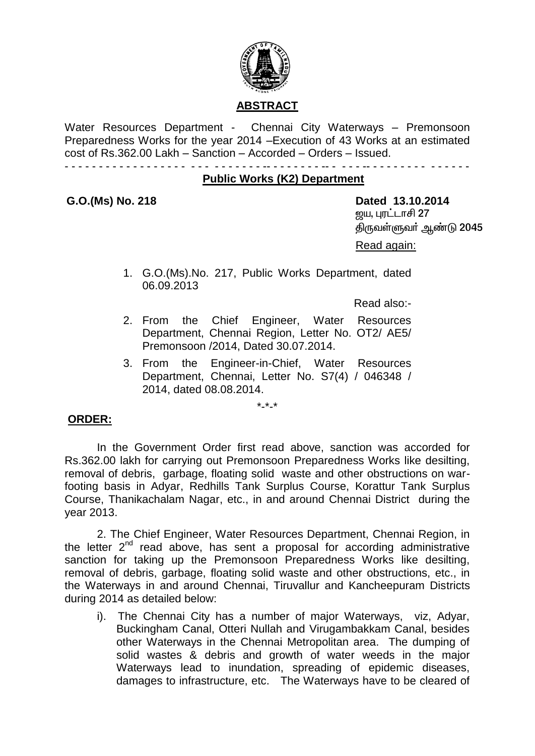

Water Resources Department - Chennai City Waterways - Premonsoon Preparedness Works for the year 2014 –Execution of 43 Works at an estimated cost of Rs.362.00 Lakh – Sanction – Accorded – Orders – Issued.

- - - - - - - - - - - - - - - - - - - - - - - - - - - - -- - - - - - - - -- - - - - -- - - - - - - - - - - - - - -

#### **Public Works (K2) Department**

**G.O.(Ms) No. 218 Dated 13.10.2014** <u>றைய, புரட்டாசி 27</u> திருவள்ளுவா் ஆண்டு 2045 Read again:

> 1. G.O.(Ms).No. 217, Public Works Department, dated 06.09.2013

> > Read also:-

- 2. From the Chief Engineer, Water Resources Department, Chennai Region, Letter No. OT2/ AE5/ Premonsoon /2014, Dated 30.07.2014.
- 3. From the Engineer-in-Chief, Water Resources Department, Chennai, Letter No. S7(4) / 046348 / 2014, dated 08.08.2014.

\*-\*-\*

#### **ORDER:**

In the Government Order first read above, sanction was accorded for Rs.362.00 lakh for carrying out Premonsoon Preparedness Works like desilting, removal of debris, garbage, floating solid waste and other obstructions on warfooting basis in Adyar, Redhills Tank Surplus Course, Korattur Tank Surplus Course, Thanikachalam Nagar, etc., in and around Chennai District during the year 2013.

2. The Chief Engineer, Water Resources Department, Chennai Region, in the letter  $2^{nd}$  read above, has sent a proposal for according administrative sanction for taking up the Premonsoon Preparedness Works like desilting, removal of debris, garbage, floating solid waste and other obstructions, etc., in the Waterways in and around Chennai, Tiruvallur and Kancheepuram Districts during 2014 as detailed below:

i). The Chennai City has a number of major Waterways, viz, Adyar, Buckingham Canal, Otteri Nullah and Virugambakkam Canal, besides other Waterways in the Chennai Metropolitan area. The dumping of solid wastes & debris and growth of water weeds in the major Waterways lead to inundation, spreading of epidemic diseases, damages to infrastructure, etc. The Waterways have to be cleared of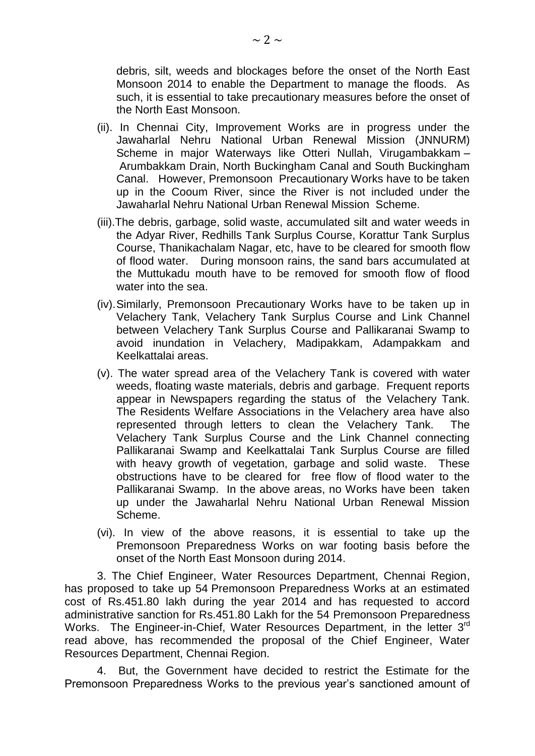debris, silt, weeds and blockages before the onset of the North East Monsoon 2014 to enable the Department to manage the floods. As such, it is essential to take precautionary measures before the onset of the North East Monsoon.

- (ii). In Chennai City, Improvement Works are in progress under the Jawaharlal Nehru National Urban Renewal Mission (JNNURM) Scheme in major Waterways like Otteri Nullah, Virugambakkam – Arumbakkam Drain, North Buckingham Canal and South Buckingham Canal. However, Premonsoon Precautionary Works have to be taken up in the Cooum River, since the River is not included under the Jawaharlal Nehru National Urban Renewal Mission Scheme.
- (iii).The debris, garbage, solid waste, accumulated silt and water weeds in the Adyar River, Redhills Tank Surplus Course, Korattur Tank Surplus Course, Thanikachalam Nagar, etc, have to be cleared for smooth flow of flood water. During monsoon rains, the sand bars accumulated at the Muttukadu mouth have to be removed for smooth flow of flood water into the sea.
- (iv).Similarly, Premonsoon Precautionary Works have to be taken up in Velachery Tank, Velachery Tank Surplus Course and Link Channel between Velachery Tank Surplus Course and Pallikaranai Swamp to avoid inundation in Velachery, Madipakkam, Adampakkam and Keelkattalai areas.
- (v). The water spread area of the Velachery Tank is covered with water weeds, floating waste materials, debris and garbage. Frequent reports appear in Newspapers regarding the status of the Velachery Tank. The Residents Welfare Associations in the Velachery area have also represented through letters to clean the Velachery Tank. The Velachery Tank Surplus Course and the Link Channel connecting Pallikaranai Swamp and Keelkattalai Tank Surplus Course are filled with heavy growth of vegetation, garbage and solid waste. These obstructions have to be cleared for free flow of flood water to the Pallikaranai Swamp. In the above areas, no Works have been taken up under the Jawaharlal Nehru National Urban Renewal Mission Scheme.
- (vi). In view of the above reasons, it is essential to take up the Premonsoon Preparedness Works on war footing basis before the onset of the North East Monsoon during 2014.

3. The Chief Engineer, Water Resources Department, Chennai Region, has proposed to take up 54 Premonsoon Preparedness Works at an estimated cost of Rs.451.80 lakh during the year 2014 and has requested to accord administrative sanction for Rs.451.80 Lakh for the 54 Premonsoon Preparedness Works. The Engineer-in-Chief, Water Resources Department, in the letter 3<sup>rd</sup> read above, has recommended the proposal of the Chief Engineer, Water Resources Department, Chennai Region.

4. But, the Government have decided to restrict the Estimate for the Premonsoon Preparedness Works to the previous year's sanctioned amount of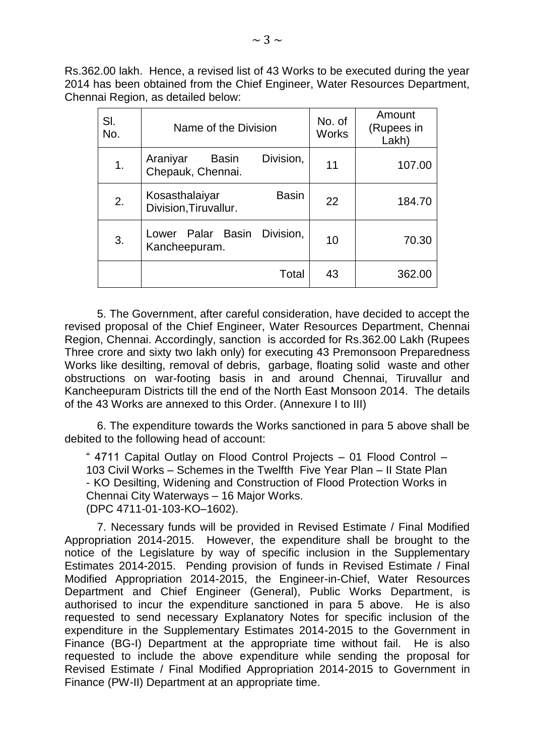Rs.362.00 lakh. Hence, a revised list of 43 Works to be executed during the year 2014 has been obtained from the Chief Engineer, Water Resources Department, Chennai Region, as detailed below:

| SI.<br>No. | Name of the Division                                       | No. of<br><b>Works</b> | Amount<br>(Rupees in<br>Lakh) |
|------------|------------------------------------------------------------|------------------------|-------------------------------|
| 1.         | Division,<br>Araniyar<br><b>Basin</b><br>Chepauk, Chennai. | 11                     | 107.00                        |
| 2.         | <b>Basin</b><br>Kosasthalaiyar<br>Division, Tiruvallur.    | 22                     | 184.70                        |
| 3.         | Division.<br>Lower Palar Basin<br>Kancheepuram.            | 10                     | 70.30                         |
|            | Total                                                      | 43                     | 362.00                        |

5. The Government, after careful consideration, have decided to accept the revised proposal of the Chief Engineer, Water Resources Department, Chennai Region, Chennai. Accordingly, sanction is accorded for Rs.362.00 Lakh (Rupees Three crore and sixty two lakh only) for executing 43 Premonsoon Preparedness Works like desilting, removal of debris, garbage, floating solid waste and other obstructions on war-footing basis in and around Chennai, Tiruvallur and Kancheepuram Districts till the end of the North East Monsoon 2014. The details of the 43 Works are annexed to this Order. (Annexure I to III)

6. The expenditure towards the Works sanctioned in para 5 above shall be debited to the following head of account:

" 4711 Capital Outlay on Flood Control Projects – 01 Flood Control – 103 Civil Works – Schemes in the Twelfth Five Year Plan – II State Plan - KO Desilting, Widening and Construction of Flood Protection Works in Chennai City Waterways – 16 Major Works. (DPC 4711-01-103-KO–1602).

7. Necessary funds will be provided in Revised Estimate / Final Modified Appropriation 2014-2015. However, the expenditure shall be brought to the notice of the Legislature by way of specific inclusion in the Supplementary Estimates 2014-2015. Pending provision of funds in Revised Estimate / Final Modified Appropriation 2014-2015, the Engineer-in-Chief, Water Resources Department and Chief Engineer (General), Public Works Department, is authorised to incur the expenditure sanctioned in para 5 above. He is also requested to send necessary Explanatory Notes for specific inclusion of the expenditure in the Supplementary Estimates 2014-2015 to the Government in Finance (BG-I) Department at the appropriate time without fail. He is also requested to include the above expenditure while sending the proposal for Revised Estimate / Final Modified Appropriation 2014-2015 to Government in Finance (PW-II) Department at an appropriate time.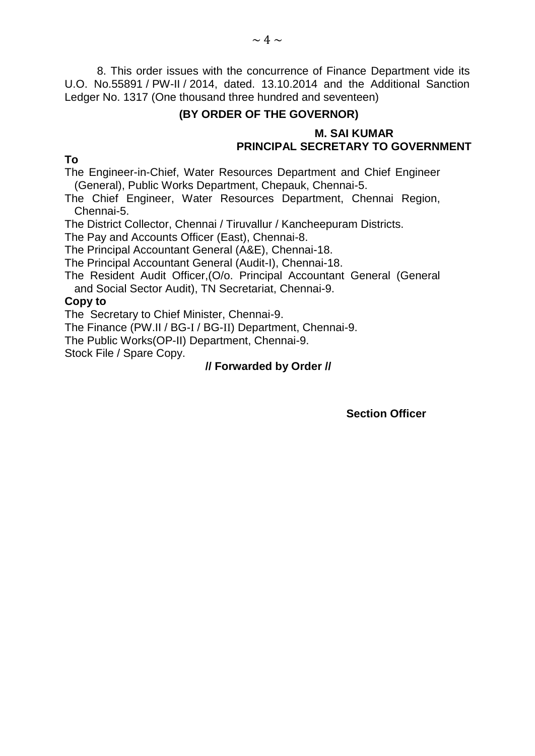8. This order issues with the concurrence of Finance Department vide its U.O. No.55891 / PW-II / 2014, dated. 13.10.2014 and the Additional Sanction Ledger No. 1317 (One thousand three hundred and seventeen)

### **(BY ORDER OF THE GOVERNOR)**

#### **M. SAI KUMAR PRINCIPAL SECRETARY TO GOVERNMENT**

**To**

The Engineer-in-Chief, Water Resources Department and Chief Engineer (General), Public Works Department, Chepauk, Chennai-5.

The Chief Engineer, Water Resources Department, Chennai Region, Chennai-5.

The District Collector, Chennai / Tiruvallur / Kancheepuram Districts.

The Pay and Accounts Officer (East), Chennai-8.

The Principal Accountant General (A&E), Chennai-18.

The Principal Accountant General (Audit-I), Chennai-18.

The Resident Audit Officer,(O/o. Principal Accountant General (General and Social Sector Audit), TN Secretariat, Chennai-9.

#### **Copy to**

The Secretary to Chief Minister, Chennai-9.

The Finance (PW.II / BG-I / BG-II) Department, Chennai-9.

The Public Works(OP-II) Department, Chennai-9.

Stock File / Spare Copy.

#### **// Forwarded by Order //**

 **Section Officer**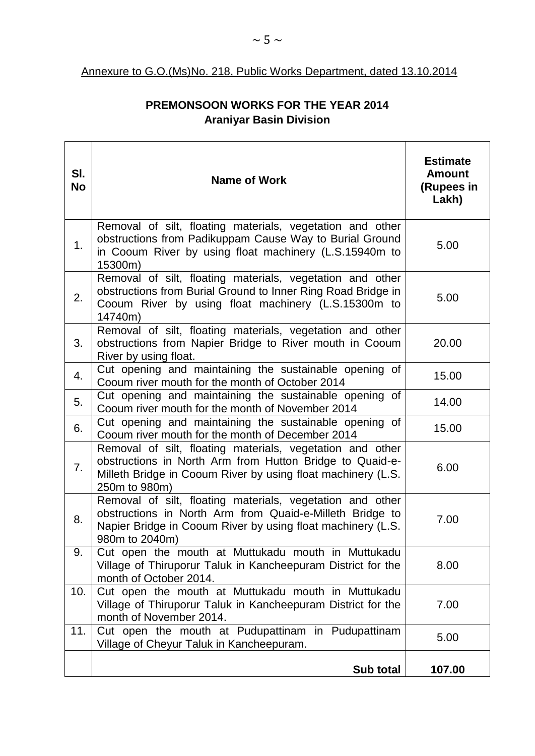#### Annexure to G.O.(Ms)No. 218, Public Works Department, dated 13.10.2014

## **PREMONSOON WORKS FOR THE YEAR 2014 Araniyar Basin Division**

| SI.<br><b>No</b> | <b>Name of Work</b>                                                                                                                                                                                    | <b>Estimate</b><br><b>Amount</b><br>(Rupees in<br>Lakh) |
|------------------|--------------------------------------------------------------------------------------------------------------------------------------------------------------------------------------------------------|---------------------------------------------------------|
| 1.               | Removal of silt, floating materials, vegetation and other<br>obstructions from Padikuppam Cause Way to Burial Ground<br>in Cooum River by using float machinery (L.S.15940m to<br>15300m)              | 5.00                                                    |
| 2.               | Removal of silt, floating materials, vegetation and other<br>obstructions from Burial Ground to Inner Ring Road Bridge in<br>Cooum River by using float machinery (L.S.15300m to<br>14740m)            | 5.00                                                    |
| 3.               | Removal of silt, floating materials, vegetation and other<br>obstructions from Napier Bridge to River mouth in Cooum<br>River by using float.                                                          | 20.00                                                   |
| 4.               | Cut opening and maintaining the sustainable opening of<br>Cooum river mouth for the month of October 2014                                                                                              | 15.00                                                   |
| 5.               | Cut opening and maintaining the sustainable opening of<br>Cooum river mouth for the month of November 2014                                                                                             | 14.00                                                   |
| 6.               | Cut opening and maintaining the sustainable opening of<br>Cooum river mouth for the month of December 2014                                                                                             | 15.00                                                   |
| 7.               | Removal of silt, floating materials, vegetation and other<br>obstructions in North Arm from Hutton Bridge to Quaid-e-<br>Milleth Bridge in Cooum River by using float machinery (L.S.<br>250m to 980m) | 6.00                                                    |
| 8.               | Removal of silt, floating materials, vegetation and other<br>obstructions in North Arm from Quaid-e-Milleth Bridge to<br>Napier Bridge in Cooum River by using float machinery (L.S.<br>980m to 2040m) | 7.00                                                    |
| 9.               | Cut open the mouth at Muttukadu mouth in Muttukadu<br>Village of Thiruporur Taluk in Kancheepuram District for the<br>month of October 2014.                                                           | 8.00                                                    |
| 10.              | Cut open the mouth at Muttukadu mouth in Muttukadu<br>Village of Thiruporur Taluk in Kancheepuram District for the<br>month of November 2014.                                                          | 7.00                                                    |
| 11.              | Cut open the mouth at Pudupattinam in Pudupattinam<br>Village of Cheyur Taluk in Kancheepuram.                                                                                                         | 5.00                                                    |
|                  | Sub total                                                                                                                                                                                              | 107.00                                                  |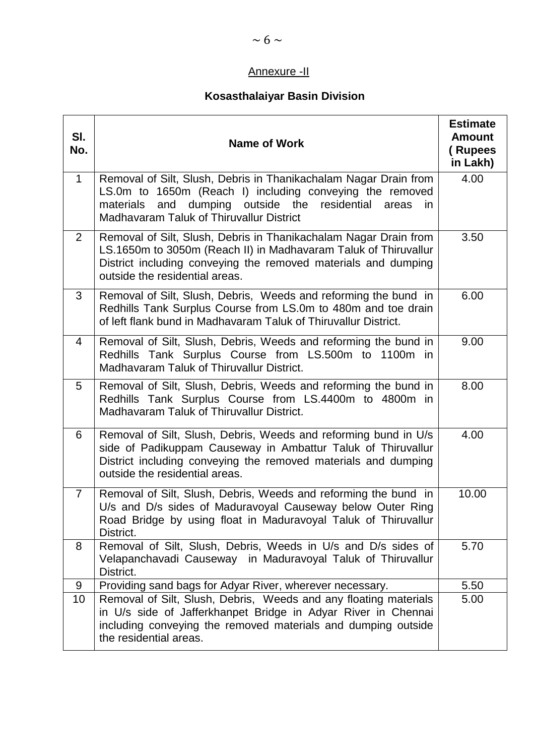# Annexure -II

# **Kosasthalaiyar Basin Division**

| SI.<br>No.      | <b>Name of Work</b>                                                                                                                                                                                                                         | <b>Estimate</b><br><b>Amount</b><br>(Rupees<br>in Lakh) |
|-----------------|---------------------------------------------------------------------------------------------------------------------------------------------------------------------------------------------------------------------------------------------|---------------------------------------------------------|
| $\mathbf 1$     | Removal of Silt, Slush, Debris in Thanikachalam Nagar Drain from<br>LS.0m to 1650m (Reach I) including conveying the removed<br>and dumping outside the residential<br>materials<br>areas<br>in<br>Madhavaram Taluk of Thiruvallur District | 4.00                                                    |
| $\overline{2}$  | Removal of Silt, Slush, Debris in Thanikachalam Nagar Drain from<br>LS.1650m to 3050m (Reach II) in Madhavaram Taluk of Thiruvallur<br>District including conveying the removed materials and dumping<br>outside the residential areas.     | 3.50                                                    |
| 3               | Removal of Silt, Slush, Debris, Weeds and reforming the bund in<br>Redhills Tank Surplus Course from LS.0m to 480m and toe drain<br>of left flank bund in Madhavaram Taluk of Thiruvallur District.                                         | 6.00                                                    |
| 4               | Removal of Silt, Slush, Debris, Weeds and reforming the bund in<br>Redhills Tank Surplus Course from LS.500m to 1100m in<br>Madhavaram Taluk of Thiruvallur District.                                                                       | 9.00                                                    |
| 5               | Removal of Silt, Slush, Debris, Weeds and reforming the bund in<br>Redhills Tank Surplus Course from LS.4400m to 4800m in<br>Madhavaram Taluk of Thiruvallur District.                                                                      | 8.00                                                    |
| 6               | Removal of Silt, Slush, Debris, Weeds and reforming bund in U/s<br>side of Padikuppam Causeway in Ambattur Taluk of Thiruvallur<br>District including conveying the removed materials and dumping<br>outside the residential areas.         | 4.00                                                    |
| $\overline{7}$  | Removal of Silt, Slush, Debris, Weeds and reforming the bund in<br>U/s and D/s sides of Maduravoyal Causeway below Outer Ring<br>Road Bridge by using float in Maduravoyal Taluk of Thiruvallur<br>District.                                | 10.00                                                   |
| 8               | Removal of Silt, Slush, Debris, Weeds in U/s and D/s sides of<br>Velapanchavadi Causeway in Maduravoyal Taluk of Thiruvallur<br>District.                                                                                                   | 5.70                                                    |
| 9               | Providing sand bags for Adyar River, wherever necessary.                                                                                                                                                                                    | 5.50                                                    |
| 10 <sup>1</sup> | Removal of Silt, Slush, Debris, Weeds and any floating materials<br>in U/s side of Jafferkhanpet Bridge in Adyar River in Chennai<br>including conveying the removed materials and dumping outside<br>the residential areas.                | 5.00                                                    |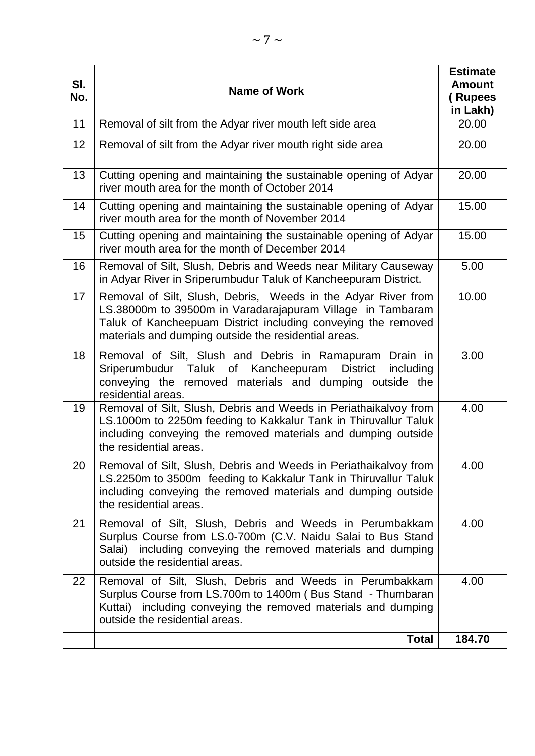| SI.<br>No. | <b>Name of Work</b>                                                                                                                                                                                                                                  | <b>Estimate</b><br><b>Amount</b><br>(Rupees<br>in Lakh) |
|------------|------------------------------------------------------------------------------------------------------------------------------------------------------------------------------------------------------------------------------------------------------|---------------------------------------------------------|
| 11         | Removal of silt from the Adyar river mouth left side area                                                                                                                                                                                            | 20.00                                                   |
| 12         | Removal of silt from the Adyar river mouth right side area                                                                                                                                                                                           | 20.00                                                   |
| 13         | Cutting opening and maintaining the sustainable opening of Adyar<br>river mouth area for the month of October 2014                                                                                                                                   | 20.00                                                   |
| 14         | Cutting opening and maintaining the sustainable opening of Adyar<br>river mouth area for the month of November 2014                                                                                                                                  | 15.00                                                   |
| 15         | Cutting opening and maintaining the sustainable opening of Adyar<br>river mouth area for the month of December 2014                                                                                                                                  | 15.00                                                   |
| 16         | Removal of Silt, Slush, Debris and Weeds near Military Causeway<br>in Adyar River in Sriperumbudur Taluk of Kancheepuram District.                                                                                                                   | 5.00                                                    |
| 17         | Removal of Silt, Slush, Debris, Weeds in the Adyar River from<br>LS.38000m to 39500m in Varadarajapuram Village in Tambaram<br>Taluk of Kancheepuam District including conveying the removed<br>materials and dumping outside the residential areas. | 10.00                                                   |
| 18         | Removal of Silt, Slush and Debris in Ramapuram<br>Drain in<br>Sriperumbudur Taluk of Kancheepuram District<br>including<br>conveying the removed materials and dumping outside the<br>residential areas.                                             | 3.00                                                    |
| 19         | Removal of Silt, Slush, Debris and Weeds in Periathaikalvoy from<br>LS.1000m to 2250m feeding to Kakkalur Tank in Thiruvallur Taluk<br>including conveying the removed materials and dumping outside<br>the residential areas.                       | 4.00                                                    |
| 20         | Removal of Silt, Slush, Debris and Weeds in Periathaikalvoy from<br>LS.2250m to 3500m feeding to Kakkalur Tank in Thiruvallur Taluk<br>including conveying the removed materials and dumping outside<br>the residential areas.                       | 4.00                                                    |
| 21         | Removal of Silt, Slush, Debris and Weeds in Perumbakkam<br>Surplus Course from LS.0-700m (C.V. Naidu Salai to Bus Stand<br>Salai) including conveying the removed materials and dumping<br>outside the residential areas.                            | 4.00                                                    |
| 22         | Removal of Silt, Slush, Debris and Weeds in Perumbakkam<br>Surplus Course from LS.700m to 1400m (Bus Stand - Thumbaran<br>Kuttai) including conveying the removed materials and dumping<br>outside the residential areas.                            | 4.00                                                    |
|            | <b>Total</b>                                                                                                                                                                                                                                         | 184.70                                                  |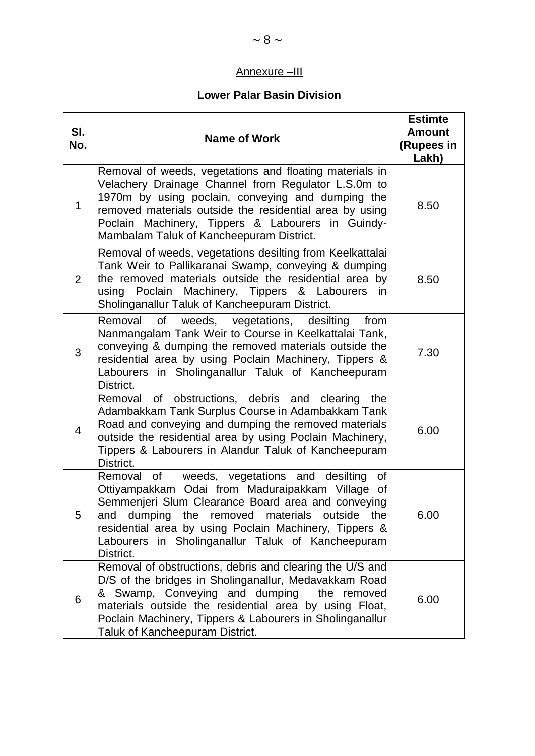# Annexure –III

## **Lower Palar Basin Division**

| SI.<br>No.   | <b>Name of Work</b>                                                                                                                                                                                                                                                                                                                            | <b>Estimte</b><br><b>Amount</b><br>(Rupees in<br>Lakh) |
|--------------|------------------------------------------------------------------------------------------------------------------------------------------------------------------------------------------------------------------------------------------------------------------------------------------------------------------------------------------------|--------------------------------------------------------|
| $\mathbf{1}$ | Removal of weeds, vegetations and floating materials in<br>Velachery Drainage Channel from Regulator L.S.0m to<br>1970m by using poclain, conveying and dumping the<br>removed materials outside the residential area by using<br>Poclain Machinery, Tippers & Labourers in Guindy-<br>Mambalam Taluk of Kancheepuram District.                | 8.50                                                   |
| 2            | Removal of weeds, vegetations desilting from Keelkattalai<br>Tank Weir to Pallikaranai Swamp, conveying & dumping<br>the removed materials outside the residential area by<br>using Poclain Machinery, Tippers & Labourers<br>in.<br>Sholinganallur Taluk of Kancheepuram District.                                                            | 8.50                                                   |
| 3            | Removal<br><b>of</b><br>weeds, vegetations, desilting<br>from<br>Nanmangalam Tank Weir to Course in Keelkattalai Tank,<br>conveying & dumping the removed materials outside the<br>residential area by using Poclain Machinery, Tippers &<br>Labourers in Sholinganallur Taluk of Kancheepuram<br>District.                                    | 7.30                                                   |
| 4            | Removal of obstructions, debris and clearing the<br>Adambakkam Tank Surplus Course in Adambakkam Tank<br>Road and conveying and dumping the removed materials<br>outside the residential area by using Poclain Machinery,<br>Tippers & Labourers in Alandur Taluk of Kancheepuram<br>District.                                                 | 6.00                                                   |
| 5            | weeds, vegetations and desilting<br>Removal of<br>of<br>Ottiyampakkam Odai from Maduraipakkam Village of<br>Semmenjeri Slum Clearance Board area and conveying<br>and dumping the removed materials outside the<br>residential area by using Poclain Machinery, Tippers &<br>in Sholinganallur Taluk of Kancheepuram<br>Labourers<br>District. | 6.00                                                   |
| 6            | Removal of obstructions, debris and clearing the U/S and<br>D/S of the bridges in Sholinganallur, Medavakkam Road<br>& Swamp, Conveying and dumping<br>the removed<br>materials outside the residential area by using Float,<br>Poclain Machinery, Tippers & Labourers in Sholinganallur<br>Taluk of Kancheepuram District.                    | 6.00                                                   |